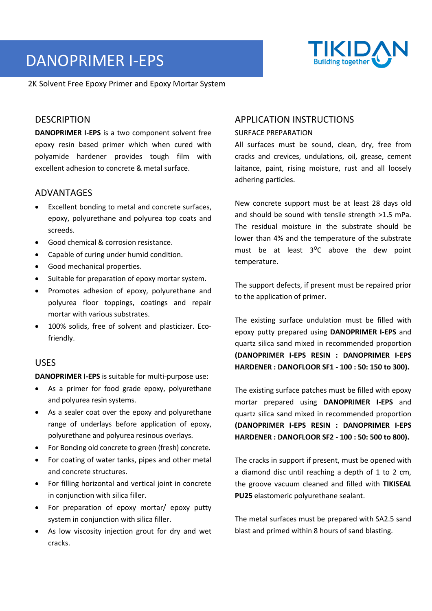# DANOPRIMER I-EPS

2K Solvent Free Epoxy Primer and Epoxy Mortar System

## DESCRIPTION

**DANOPRIMER I-EPS** is a two component solvent free epoxy resin based primer which when cured with polyamide hardener provides tough film with excellent adhesion to concrete & metal surface.

## ADVANTAGES

- Excellent bonding to metal and concrete surfaces, epoxy, polyurethane and polyurea top coats and screeds.
- Good chemical & corrosion resistance.
- Capable of curing under humid condition.
- Good mechanical properties.
- Suitable for preparation of epoxy mortar system.
- Promotes adhesion of epoxy, polyurethane and polyurea floor toppings, coatings and repair mortar with various substrates.
- 100% solids, free of solvent and plasticizer. Ecofriendly.

## USES

**DANOPRIMER I-EPS** is suitable for multi-purpose use:

- As a primer for food grade epoxy, polyurethane and polyurea resin systems.
- As a sealer coat over the epoxy and polyurethane range of underlays before application of epoxy, polyurethane and polyurea resinous overlays.
- For Bonding old concrete to green (fresh) concrete.
- For coating of water tanks, pipes and other metal and concrete structures.
- For filling horizontal and vertical joint in concrete in conjunction with silica filler.
- For preparation of epoxy mortar/ epoxy putty system in conjunction with silica filler.
- As low viscosity injection grout for dry and wet cracks.

# APPLICATION INSTRUCTIONS

#### SURFACE PREPARATION

All surfaces must be sound, clean, dry, free from cracks and crevices, undulations, oil, grease, cement laitance, paint, rising moisture, rust and all loosely adhering particles.

New concrete support must be at least 28 days old and should be sound with tensile strength >1.5 mPa. The residual moisture in the substrate should be lower than 4% and the temperature of the substrate must be at least  $3^{\circ}$ C above the dew point temperature.

The support defects, if present must be repaired prior to the application of primer.

The existing surface undulation must be filled with epoxy putty prepared using **DANOPRIMER I-EPS** and quartz silica sand mixed in recommended proportion **(DANOPRIMER I-EPS RESIN : DANOPRIMER I-EPS HARDENER : DANOFLOOR SF1 - 100 : 50: 150 to 300).**

The existing surface patches must be filled with epoxy mortar prepared using **DANOPRIMER I-EPS** and quartz silica sand mixed in recommended proportion **(DANOPRIMER I-EPS RESIN : DANOPRIMER I-EPS HARDENER : DANOFLOOR SF2 - 100 : 50: 500 to 800).**

The cracks in support if present, must be opened with a diamond disc until reaching a depth of 1 to 2 cm, the groove vacuum cleaned and filled with **TIKISEAL PU25** elastomeric polyurethane sealant.

The metal surfaces must be prepared with SA2.5 sand blast and primed within 8 hours of sand blasting.

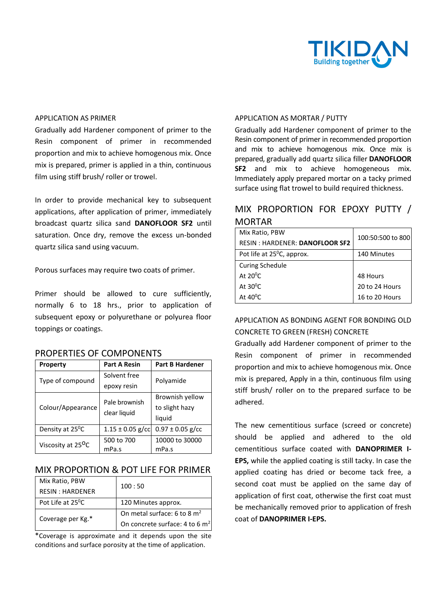

#### APPLICATION AS PRIMER

Gradually add Hardener component of primer to the Resin component of primer in recommended proportion and mix to achieve homogenous mix. Once mix is prepared, primer is applied in a thin, continuous film using stiff brush/ roller or trowel.

In order to provide mechanical key to subsequent applications, after application of primer, immediately broadcast quartz silica sand **DANOFLOOR SF2** until saturation. Once dry, remove the excess un-bonded quartz silica sand using vacuum.

Porous surfaces may require two coats of primer.

Primer should be allowed to cure sufficiently, normally 6 to 18 hrs., prior to application of subsequent epoxy or polyurethane or polyurea floor toppings or coatings.

|  | <b>PROPERTIES OF COMPONENTS</b> |
|--|---------------------------------|
|--|---------------------------------|

| <b>Property</b>                | <b>Part A Resin</b>           | <b>Part B Hardener</b>                      |
|--------------------------------|-------------------------------|---------------------------------------------|
| Type of compound               | Solvent free<br>epoxy resin   | Polyamide                                   |
| Colour/Appearance              | Pale brownish<br>clear liquid | Brownish yellow<br>to slight hazy<br>liquid |
| Density at 25 <sup>°</sup> C   | $1.15 \pm 0.05$ g/cc          | $0.97 \pm 0.05$ g/cc                        |
| Viscosity at 25 <sup>O</sup> C | 500 to 700<br>mPa.s           | 10000 to 30000<br>mPa.s                     |

#### MIX PROPORTION & POT LIFE FOR PRIMER

| Mix Ratio, PBW                | 100:50                            |  |
|-------------------------------|-----------------------------------|--|
| <b>RESIN: HARDENER</b>        |                                   |  |
| Pot Life at 25 <sup>o</sup> C | 120 Minutes approx.               |  |
| Coverage per Kg.*             | On metal surface: 6 to 8 $m2$     |  |
|                               | On concrete surface: 4 to 6 $m^2$ |  |

\*Coverage is approximate and it depends upon the site conditions and surface porosity at the time of application.

#### APPLICATION AS MORTAR / PUTTY

Gradually add Hardener component of primer to the Resin component of primer in recommended proportion and mix to achieve homogenous mix. Once mix is prepared, gradually add quartz silica filler **DANOFLOOR SF2** and mix to achieve homogeneous mix. Immediately apply prepared mortar on a tacky primed surface using flat trowel to build required thickness.

# MIX PROPORTION FOR EPOXY PUTTY / MORTAR

| Mix Ratio, PBW                         | 100:50:500 to 800 |
|----------------------------------------|-------------------|
| <b>RESIN: HARDENER: DANOFLOOR SF2</b>  |                   |
| Pot life at 25 <sup>o</sup> C, approx. | 140 Minutes       |
| <b>Curing Schedule</b>                 |                   |
| At $20^0$ C.                           | 48 Hours          |
| At $30^{\circ}$ C                      | 20 to 24 Hours    |
| At $40^{\circ}$ C                      | 16 to 20 Hours    |

# APPLICATION AS BONDING AGENT FOR BONDING OLD CONCRETE TO GREEN (FRESH) CONCRETE

Gradually add Hardener component of primer to the Resin component of primer in recommended proportion and mix to achieve homogenous mix. Once mix is prepared, Apply in a thin, continuous film using stiff brush/ roller on to the prepared surface to be adhered.

The new cementitious surface (screed or concrete) should be applied and adhered to the old cementitious surface coated with **DANOPRIMER I-EPS,** while the applied coating is still tacky. In case the applied coating has dried or become tack free, a second coat must be applied on the same day of application of first coat, otherwise the first coat must be mechanically removed prior to application of fresh coat of **DANOPRIMER I-EPS.**